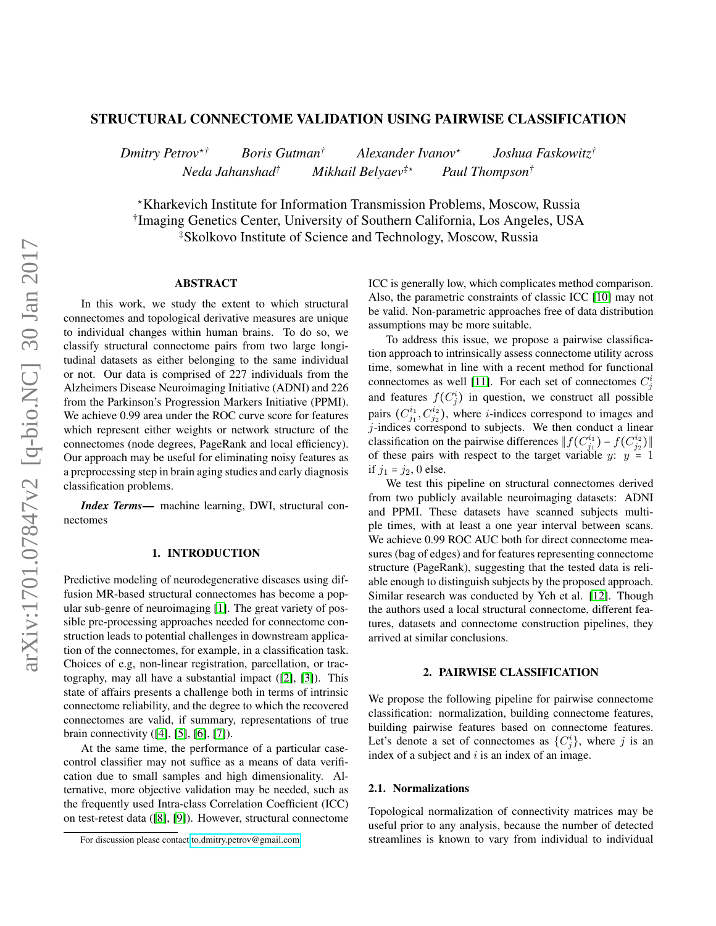# STRUCTURAL CONNECTOME VALIDATION USING PAIRWISE CLASSIFICATION

*Dmitry Petrov*<sup>⋆</sup>*† Boris Gutman† Alexander Ivanov*<sup>⋆</sup> *Joshua Faskowitz† Neda Jahanshad† Mikhail Belyaev‡*<sup>⋆</sup> *Paul Thompson†*

<sup>⋆</sup>Kharkevich Institute for Information Transmission Problems, Moscow, Russia † Imaging Genetics Center, University of Southern California, Los Angeles, USA ‡Skolkovo Institute of Science and Technology, Moscow, Russia

## ABSTRACT

In this work, we study the extent to which structural connectomes and topological derivative measures are unique to individual changes within human brains. To do so, we classify structural connectome pairs from two large longitudinal datasets as either belonging to the same individual or not. Our data is comprised of 227 individuals from the Alzheimers Disease Neuroimaging Initiative (ADNI) and 226 from the Parkinson's Progression Markers Initiative (PPMI). We achieve 0.99 area under the ROC curve score for features which represent either weights or network structure of the connectomes (node degrees, PageRank and local efficiency). Our approach may be useful for eliminating noisy features as a preprocessing step in brain aging studies and early diagnosis classification problems.

*Index Terms*— machine learning, DWI, structural connectomes

# 1. INTRODUCTION

Predictive modeling of neurodegenerative diseases using diffusion MR-based structural connectomes has become a popular sub-genre of neuroimaging [\[1\]](#page-3-0). The great variety of possible pre-processing approaches needed for connectome construction leads to potential challenges in downstream application of the connectomes, for example, in a classification task. Choices of e.g, non-linear registration, parcellation, or tractography, may all have a substantial impact ([\[2\]](#page-3-1), [\[3\]](#page-4-0)). This state of affairs presents a challenge both in terms of intrinsic connectome reliability, and the degree to which the recovered connectomes are valid, if summary, representations of true brain connectivity ([\[4\]](#page-4-1), [\[5\]](#page-4-2), [\[6\]](#page-4-3), [\[7\]](#page-4-4)).

At the same time, the performance of a particular casecontrol classifier may not suffice as a means of data verification due to small samples and high dimensionality. Alternative, more objective validation may be needed, such as the frequently used Intra-class Correlation Coefficient (ICC) on test-retest data ([\[8\]](#page-4-5), [\[9\]](#page-4-6)). However, structural connectome

ICC is generally low, which complicates method comparison. Also, the parametric constraints of classic ICC [\[10\]](#page-4-7) may not be valid. Non-parametric approaches free of data distribution assumptions may be more suitable.

To address this issue, we propose a pairwise classification approach to intrinsically assess connectome utility across time, somewhat in line with a recent method for functional connectomes as well [\[11\]](#page-4-8). For each set of connectomes  $C_j^i$ and features  $f(C_j^i)$  in question, we construct all possible pairs  $(C_{j_1}^{i_1}, C_{j_2}^{i_2})$ , where *i*-indices correspond to images and  $j$ -indices correspond to subjects. We then conduct a linear classification on the pairwise differences  $|| f(C_{j_1}^{i_1}) - f(C_{j_2}^{i_2}) ||$ of these pairs with respect to the target variable y:  $y = 1$ if  $j_1 = j_2, 0$  else.

We test this pipeline on structural connectomes derived from two publicly available neuroimaging datasets: ADNI and PPMI. These datasets have scanned subjects multiple times, with at least a one year interval between scans. We achieve 0.99 ROC AUC both for direct connectome measures (bag of edges) and for features representing connectome structure (PageRank), suggesting that the tested data is reliable enough to distinguish subjects by the proposed approach. Similar research was conducted by Yeh et al. [\[12\]](#page-4-9). Though the authors used a local structural connectome, different features, datasets and connectome construction pipelines, they arrived at similar conclusions.

#### 2. PAIRWISE CLASSIFICATION

We propose the following pipeline for pairwise connectome classification: normalization, building connectome features, building pairwise features based on connectome features. Let's denote a set of connectomes as  $\{C_j^i\}$ , where j is an index of a subject and  $i$  is an index of an image.

#### 2.1. Normalizations

Topological normalization of connectivity matrices may be useful prior to any analysis, because the number of detected streamlines is known to vary from individual to individual

For discussion please contact [to.dmitry.petrov@gmail.com](mailto:to.dmitry.petrov@gmail.com)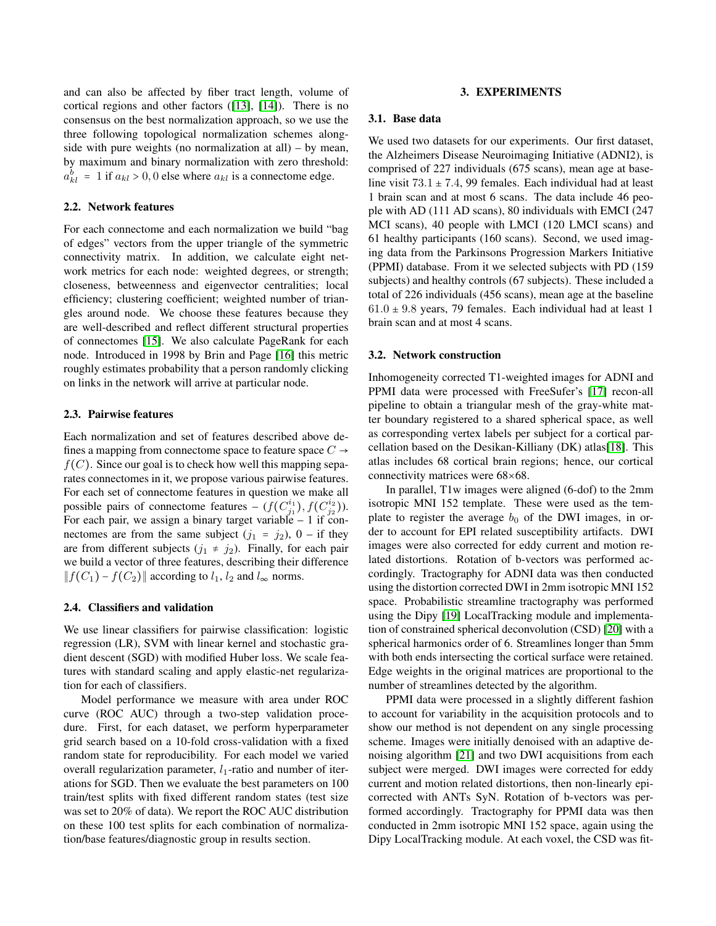and can also be affected by fiber tract length, volume of cortical regions and other factors ([\[13\]](#page-4-10), [\[14\]](#page-4-11)). There is no consensus on the best normalization approach, so we use the three following topological normalization schemes alongside with pure weights (no normalization at all) – by mean, by maximum and binary normalization with zero threshold:  $a_{kl}^b = 1$  if  $a_{kl} > 0, 0$  else where  $a_{kl}$  is a connectome edge.

## 2.2. Network features

For each connectome and each normalization we build "bag of edges" vectors from the upper triangle of the symmetric connectivity matrix. In addition, we calculate eight network metrics for each node: weighted degrees, or strength; closeness, betweenness and eigenvector centralities; local efficiency; clustering coefficient; weighted number of triangles around node. We choose these features because they are well-described and reflect different structural properties of connectomes [\[15\]](#page-4-12). We also calculate PageRank for each node. Introduced in 1998 by Brin and Page [\[16\]](#page-4-13) this metric roughly estimates probability that a person randomly clicking on links in the network will arrive at particular node.

## <span id="page-1-0"></span>2.3. Pairwise features

Each normalization and set of features described above defines a mapping from connectome space to feature space  $C \rightarrow$  $f(C)$ . Since our goal is to check how well this mapping separates connectomes in it, we propose various pairwise features. For each set of connectome features in question we make all possible pairs of connectome features –  $(f(C_{j_1}^{i_1}), f(C_{j_2}^{i_2}))$ . For each pair, we assign a binary target variable  $-1$  if connectomes are from the same subject  $(j_1 = j_2)$ ,  $0 - if they$ are from different subjects  $(j_1 \neq j_2)$ . Finally, for each pair we build a vector of three features, describing their difference  $|| f(C_1) - f(C_2)||$  according to  $l_1, l_2$  and  $l_{\infty}$  norms.

#### 2.4. Classifiers and validation

We use linear classifiers for pairwise classification: logistic regression (LR), SVM with linear kernel and stochastic gradient descent (SGD) with modified Huber loss. We scale features with standard scaling and apply elastic-net regularization for each of classifiers.

Model performance we measure with area under ROC curve (ROC AUC) through a two-step validation procedure. First, for each dataset, we perform hyperparameter grid search based on a 10-fold cross-validation with a fixed random state for reproducibility. For each model we varied overall regularization parameter,  $l_1$ -ratio and number of iterations for SGD. Then we evaluate the best parameters on 100 train/test splits with fixed different random states (test size was set to 20% of data). We report the ROC AUC distribution on these 100 test splits for each combination of normalization/base features/diagnostic group in results section.

#### 3. EXPERIMENTS

#### 3.1. Base data

We used two datasets for our experiments. Our first dataset, the Alzheimers Disease Neuroimaging Initiative (ADNI2), is comprised of 227 individuals (675 scans), mean age at baseline visit  $73.1 \pm 7.4$ , 99 females. Each individual had at least 1 brain scan and at most 6 scans. The data include 46 people with AD (111 AD scans), 80 individuals with EMCI (247 MCI scans), 40 people with LMCI (120 LMCI scans) and 61 healthy participants (160 scans). Second, we used imaging data from the Parkinsons Progression Markers Initiative (PPMI) database. From it we selected subjects with PD (159 subjects) and healthy controls (67 subjects). These included a total of 226 individuals (456 scans), mean age at the baseline  $61.0 \pm 9.8$  years, 79 females. Each individual had at least 1 brain scan and at most 4 scans.

## 3.2. Network construction

Inhomogeneity corrected T1-weighted images for ADNI and PPMI data were processed with FreeSufer's [\[17\]](#page-4-14) recon-all pipeline to obtain a triangular mesh of the gray-white matter boundary registered to a shared spherical space, as well as corresponding vertex labels per subject for a cortical parcellation based on the Desikan-Killiany (DK) atlas[\[18\]](#page-4-15). This atlas includes 68 cortical brain regions; hence, our cortical connectivity matrices were 68×68.

In parallel, T1w images were aligned (6-dof) to the 2mm isotropic MNI 152 template. These were used as the template to register the average  $b_0$  of the DWI images, in order to account for EPI related susceptibility artifacts. DWI images were also corrected for eddy current and motion related distortions. Rotation of b-vectors was performed accordingly. Tractography for ADNI data was then conducted using the distortion corrected DWI in 2mm isotropic MNI 152 space. Probabilistic streamline tractography was performed using the Dipy [\[19\]](#page-4-16) LocalTracking module and implementation of constrained spherical deconvolution (CSD) [\[20\]](#page-4-17) with a spherical harmonics order of 6. Streamlines longer than 5mm with both ends intersecting the cortical surface were retained. Edge weights in the original matrices are proportional to the number of streamlines detected by the algorithm.

PPMI data were processed in a slightly different fashion to account for variability in the acquisition protocols and to show our method is not dependent on any single processing scheme. Images were initially denoised with an adaptive denoising algorithm [\[21\]](#page-4-18) and two DWI acquisitions from each subject were merged. DWI images were corrected for eddy current and motion related distortions, then non-linearly epicorrected with ANTs SyN. Rotation of b-vectors was performed accordingly. Tractography for PPMI data was then conducted in 2mm isotropic MNI 152 space, again using the Dipy LocalTracking module. At each voxel, the CSD was fit-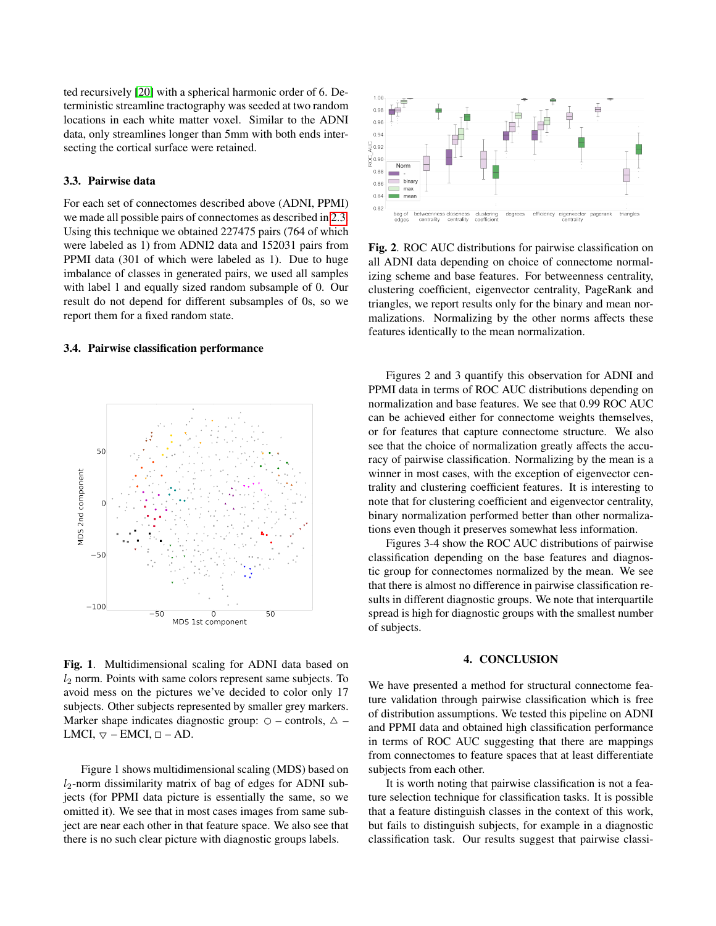ted recursively [\[20\]](#page-4-17) with a spherical harmonic order of 6. Deterministic streamline tractography was seeded at two random locations in each white matter voxel. Similar to the ADNI data, only streamlines longer than 5mm with both ends intersecting the cortical surface were retained.

## 3.3. Pairwise data

For each set of connectomes described above (ADNI, PPMI) we made all possible pairs of connectomes as described in [2.3.](#page-1-0) Using this technique we obtained 227475 pairs (764 of which were labeled as 1) from ADNI2 data and 152031 pairs from PPMI data (301 of which were labeled as 1). Due to huge imbalance of classes in generated pairs, we used all samples with label 1 and equally sized random subsample of 0. Our result do not depend for different subsamples of 0s, so we report them for a fixed random state.

## 3.4. Pairwise classification performance



Fig. 1. Multidimensional scaling for ADNI data based on  $l_2$  norm. Points with same colors represent same subjects. To avoid mess on the pictures we've decided to color only 17 subjects. Other subjects represented by smaller grey markers. Marker shape indicates diagnostic group:  $\circ$  – controls,  $\triangle$  – LMCI,  $\triangledown$  – EMCI,  $\square$  – AD.

Figure 1 shows multidimensional scaling (MDS) based on  $l_2$ -norm dissimilarity matrix of bag of edges for ADNI subjects (for PPMI data picture is essentially the same, so we omitted it). We see that in most cases images from same subject are near each other in that feature space. We also see that there is no such clear picture with diagnostic groups labels.



Fig. 2. ROC AUC distributions for pairwise classification on all ADNI data depending on choice of connectome normalizing scheme and base features. For betweenness centrality, clustering coefficient, eigenvector centrality, PageRank and triangles, we report results only for the binary and mean normalizations. Normalizing by the other norms affects these features identically to the mean normalization.

Figures 2 and 3 quantify this observation for ADNI and PPMI data in terms of ROC AUC distributions depending on normalization and base features. We see that 0.99 ROC AUC can be achieved either for connectome weights themselves, or for features that capture connectome structure. We also see that the choice of normalization greatly affects the accuracy of pairwise classification. Normalizing by the mean is a winner in most cases, with the exception of eigenvector centrality and clustering coefficient features. It is interesting to note that for clustering coefficient and eigenvector centrality, binary normalization performed better than other normalizations even though it preserves somewhat less information.

Figures 3-4 show the ROC AUC distributions of pairwise classification depending on the base features and diagnostic group for connectomes normalized by the mean. We see that there is almost no difference in pairwise classification results in different diagnostic groups. We note that interquartile spread is high for diagnostic groups with the smallest number of subjects.

## 4. CONCLUSION

We have presented a method for structural connectome feature validation through pairwise classification which is free of distribution assumptions. We tested this pipeline on ADNI and PPMI data and obtained high classification performance in terms of ROC AUC suggesting that there are mappings from connectomes to feature spaces that at least differentiate subjects from each other.

It is worth noting that pairwise classification is not a feature selection technique for classification tasks. It is possible that a feature distinguish classes in the context of this work, but fails to distinguish subjects, for example in a diagnostic classification task. Our results suggest that pairwise classi-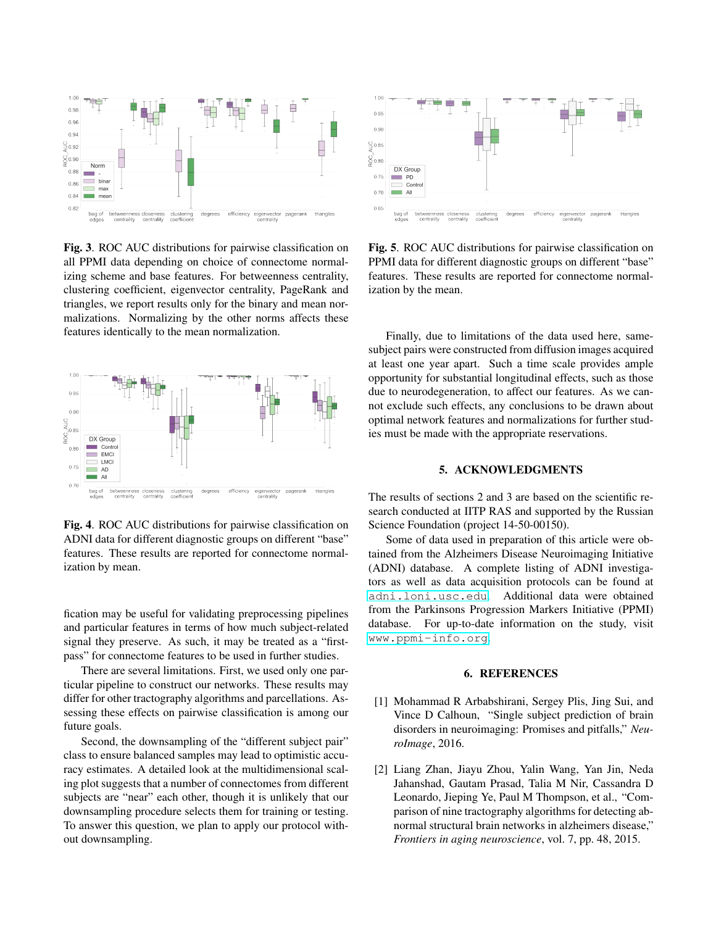

Fig. 3. ROC AUC distributions for pairwise classification on all PPMI data depending on choice of connectome normalizing scheme and base features. For betweenness centrality, clustering coefficient, eigenvector centrality, PageRank and triangles, we report results only for the binary and mean normalizations. Normalizing by the other norms affects these features identically to the mean normalization.



Fig. 4. ROC AUC distributions for pairwise classification on ADNI data for different diagnostic groups on different "base" features. These results are reported for connectome normalization by mean.

fication may be useful for validating preprocessing pipelines and particular features in terms of how much subject-related signal they preserve. As such, it may be treated as a "firstpass" for connectome features to be used in further studies.

There are several limitations. First, we used only one particular pipeline to construct our networks. These results may differ for other tractography algorithms and parcellations. Assessing these effects on pairwise classification is among our future goals.

Second, the downsampling of the "different subject pair" class to ensure balanced samples may lead to optimistic accuracy estimates. A detailed look at the multidimensional scaling plot suggests that a number of connectomes from different subjects are "near" each other, though it is unlikely that our downsampling procedure selects them for training or testing. To answer this question, we plan to apply our protocol without downsampling.



Fig. 5. ROC AUC distributions for pairwise classification on PPMI data for different diagnostic groups on different "base" features. These results are reported for connectome normalization by the mean.

Finally, due to limitations of the data used here, samesubject pairs were constructed from diffusion images acquired at least one year apart. Such a time scale provides ample opportunity for substantial longitudinal effects, such as those due to neurodegeneration, to affect our features. As we cannot exclude such effects, any conclusions to be drawn about optimal network features and normalizations for further studies must be made with the appropriate reservations.

# 5. ACKNOWLEDGMENTS

The results of sections 2 and 3 are based on the scientific research conducted at IITP RAS and supported by the Russian Science Foundation (project 14-50-00150).

Some of data used in preparation of this article were obtained from the Alzheimers Disease Neuroimaging Initiative (ADNI) database. A complete listing of ADNI investigators as well as data acquisition protocols can be found at <adni.loni.usc.edu>. Additional data were obtained from the Parkinsons Progression Markers Initiative (PPMI) database. For up-to-date information on the study, visit <www.ppmi-info.org>.

# 6. REFERENCES

- <span id="page-3-0"></span>[1] Mohammad R Arbabshirani, Sergey Plis, Jing Sui, and Vince D Calhoun, "Single subject prediction of brain disorders in neuroimaging: Promises and pitfalls," *NeuroImage*, 2016.
- <span id="page-3-1"></span>[2] Liang Zhan, Jiayu Zhou, Yalin Wang, Yan Jin, Neda Jahanshad, Gautam Prasad, Talia M Nir, Cassandra D Leonardo, Jieping Ye, Paul M Thompson, et al., "Comparison of nine tractography algorithms for detecting abnormal structural brain networks in alzheimers disease," *Frontiers in aging neuroscience*, vol. 7, pp. 48, 2015.